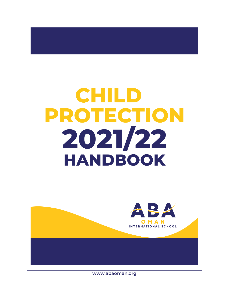# **CHILD PROTECTION** 2021/22 **HANDBOOK**



**www.abaoman.org**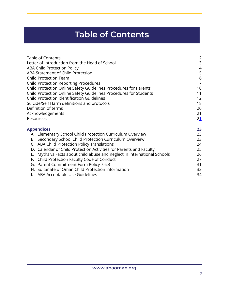# **Table of Contents**

<span id="page-1-0"></span>

| <b>Table of Contents</b><br>Letter of Introduction from the Head of School<br>ABA Child Protection Policy<br>ABA Statement of Child Protection<br><b>Child Protection Team</b><br><b>Child Protection Reporting Procedures</b><br>Child Protection Online Safety Guidelines Procedures for Parents<br>Child Protection Online Safety Guidelines Procedures for Students<br><b>Child Protection Identification Guidelines</b><br>Suicide/Self Harm definitions and protocols<br>Definition of terms<br>Acknowledgements<br>Resources | $\overline{2}$<br>3<br>$\overline{4}$<br>5<br>6<br>$\overline{7}$<br>10<br>11<br>12<br>18<br>20<br>21<br>21 |
|-------------------------------------------------------------------------------------------------------------------------------------------------------------------------------------------------------------------------------------------------------------------------------------------------------------------------------------------------------------------------------------------------------------------------------------------------------------------------------------------------------------------------------------|-------------------------------------------------------------------------------------------------------------|
| <b>Appendices</b>                                                                                                                                                                                                                                                                                                                                                                                                                                                                                                                   | 23                                                                                                          |
| A. Elementary School Child Protection Curriculum Overview                                                                                                                                                                                                                                                                                                                                                                                                                                                                           | 23                                                                                                          |
| Secondary School Child Protection Curriculum Overview<br>В.                                                                                                                                                                                                                                                                                                                                                                                                                                                                         | 23                                                                                                          |
| C. ABA Child Protection Policy Translations<br>D. Calendar of Child Protection Activities for Parents and Faculty                                                                                                                                                                                                                                                                                                                                                                                                                   | 24<br>25                                                                                                    |
| Myths vs Facts about child abuse and neglect in International Schools<br>Е.                                                                                                                                                                                                                                                                                                                                                                                                                                                         | 26                                                                                                          |
| Child Protection Faculty Code of Conduct<br>F.                                                                                                                                                                                                                                                                                                                                                                                                                                                                                      | 27                                                                                                          |
| G. Parent Commitment Form Policy 7.6.3                                                                                                                                                                                                                                                                                                                                                                                                                                                                                              | 31                                                                                                          |
| H. Sultanate of Oman Child Protection information                                                                                                                                                                                                                                                                                                                                                                                                                                                                                   | 33                                                                                                          |

I. ABA [Acceptable](#page-32-1) Use Guidelines **34**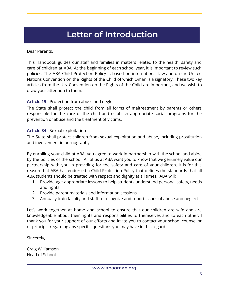# **Letter of Introduction**

<span id="page-2-0"></span>Dear Parents,

This Handbook guides our staff and families in matters related to the health, safety and care of children at ABA. At the beginning of each school year, it is important to review such policies. The ABA Child Protection Policy is based on international law and on the United Nations Convention on the Rights of the Child of which Oman is a signatory. These two key articles from the U.N Convention on the Rights of the Child are important, and we wish to draw your attention to them:

### **Article 19** - Protection from abuse and neglect

The State shall protect the child from all forms of maltreatment by parents or others responsible for the care of the child and establish appropriate social programs for the prevention of abuse and the treatment of victims.

### **Article 34** - Sexual exploitation

The State shall protect children from sexual exploitation and abuse, including prostitution and involvement in pornography.

By enrolling your child at ABA, you agree to work in partnership with the school and abide by the policies of the school. All of us at ABA want you to know that we genuinely value our partnership with you in providing for the safety and care of your children. It is for this reason that ABA has endorsed a Child Protection Policy that defines the standards that all ABA students should be treated with respect and dignity at all times. ABA will:

- 1. Provide age-appropriate lessons to help students understand personal safety, needs and rights.
- 2. Provide parent materials and information sessions
- 3. Annually train faculty and staff to recognize and report issues of abuse and neglect.

Let's work together at home and school to ensure that our children are safe and are knowledgeable about their rights and responsibilities to themselves and to each other. I thank you for your support of our efforts and invite you to contact your school counsellor or principal regarding any specific questions you may have in this regard.

Sincerely,

Craig Williamson Head of School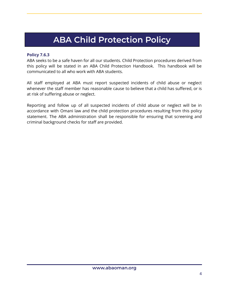# **ABA Child Protection Policy**

### **Policy 7.6.3**

ABA seeks to be a safe haven for all our students. Child Protection procedures derived from this policy will be stated in an ABA Child Protection Handbook. This handbook will be communicated to all who work with ABA students.

All staff employed at ABA must report suspected incidents of child abuse or neglect whenever the staff member has reasonable cause to believe that a child has suffered, or is at risk of suffering abuse or neglect.

Reporting and follow up of all suspected incidents of child abuse or neglect will be in accordance with Omani law and the child protection procedures resulting from this policy statement. The ABA administration shall be responsible for ensuring that screening and criminal background checks for staff are provided.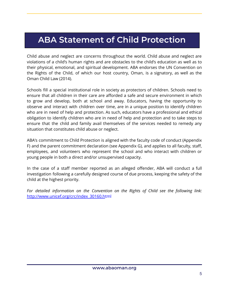# <span id="page-4-0"></span>**ABA Statement of Child Protection**

Child abuse and neglect are concerns throughout the world. Child abuse and neglect are violations of a child's human rights and are obstacles to the child's education as well as to their physical, emotional, and spiritual development. ABA endorses the UN Convention on the Rights of the Child, of which our host country, Oman, is a signatory, as well as the Oman Child Law (2014).

Schools fill a special institutional role in society as protectors of children. Schools need to ensure that all children in their care are afforded a safe and secure environment in which to grow and develop, both at school and away. Educators, having the opportunity to observe and interact with children over time, are in a unique position to identify children who are in need of help and protection. As such, educators have a professional and ethical obligation to identify children who are in need of help and protection and to take steps to ensure that the child and family avail themselves of the services needed to remedy any situation that constitutes child abuse or neglect.

ABA's commitment to Child Protection is aligned with the faculty code of conduct (Appendix F) and the parent commitment declaration (see Appendix G), and applies to all faculty, staff, employees, and volunteers who represent the school and who interact with children or young people in both a direct and/or unsupervised capacity.

In the case of a staff member reported as an alleged offender, ABA will conduct a full investigation following a carefully designed course of due process, keeping the safety of the child at the highest priority.

*For detailed information on the Convention on the Rights of Child see the following link:* [http://www.unicef.org/crc/index\\_30160.h](http://www.unicef.org/crc/index_30160.html)tml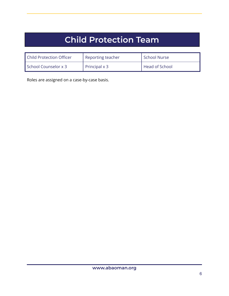# **Child Protection Team**

| <b>Child Protection Officer</b> | Reporting teacher    | School Nurse   |
|---------------------------------|----------------------|----------------|
| School Counselor x 3            | Principal $\times$ 3 | Head of School |

Roles are assigned on a case-by-case basis.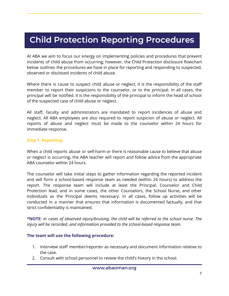# <span id="page-6-0"></span>**Child Protection Reporting Procedures**

At ABA we aim to focus our energy on implementing policies and procedures that prevent incidents of child abuse from occurring; however, the Child Protection disclosure flowchart below outlines the procedures we have in place for reporting and responding to suspected, observed or disclosed incidents of child abuse.

Where there is cause to suspect child abuse or neglect, it is the responsibility of the staff member to report their suspicions to the counselor, or to the principal. In all cases, the principal will be notified. It is the responsibility of the principal to inform the head of school of the suspected case of child abuse or neglect.

All staff, faculty and administrators are mandated to report incidences of abuse and neglect. All ABA employees are also required to report suspicion of abuse or neglect. All reports of abuse and neglect must be made to the counselor within 24 hours for immediate response.

#### **Step 1: Reporting:**

When a child reports abuse or self-harm or there is reasonable cause to believe that abuse or neglect is occurring, the ABA teacher will report and follow advice from the appropriate ABA counselor within 24 hours.

The counselor will take initial steps to gather information regarding the reported incident and will form a school-based response team as needed (within 24 hours) to address the report. The response team will include at least the Principal, Counselor and Child Protection lead, and in some cases, the other Counselors, the School Nurse, and other individuals as the Principal deems necessary. In all cases, follow up activities will be conducted in a manner that ensures that information is documented factually, and that strict confidentiality is maintained.

**\*NOTE:** *in cases of observed injury/bruising, the child will be referred to the school nurse. The injury will be recorded, and information provided to the school-based response team.*

#### **The team will use the following procedure:**

- 1. Interview staff member/reporter as necessary and document information relative to the case.
- 2. Consult with school personnel to review the child's history in the school.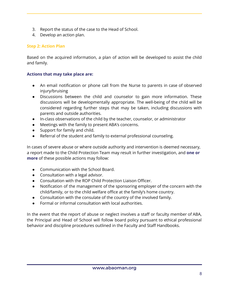- 3. Report the status of the case to the Head of School.
- 4. Develop an action plan.

# **Step 2: Action Plan**

Based on the acquired information, a plan of action will be developed to assist the child and family.

### **Actions that may take place are:**

- An email notification or phone call from the Nurse to parents in case of observed injury/bruising
- Discussions between the child and counselor to gain more information. These discussions will be developmentally appropriate. The well-being of the child will be considered regarding further steps that may be taken, including discussions with parents and outside authorities.
- In-class observations of the child by the teacher, counselor, or administrator
- Meetings with the family to present ABA's concerns.
- Support for family and child.
- Referral of the student and family to external professional counseling.

In cases of severe abuse or where outside authority and intervention is deemed necessary, a report made to the Child Protection Team may result in further investigation, and **one or more** of these possible actions may follow:

- Communication with the School Board.
- Consultation with a legal advisor.
- Consultation with the ROP Child Protection Liaison Officer.
- Notification of the management of the sponsoring employer of the concern with the child/family, or to the child welfare office at the family's home country.
- Consultation with the consulate of the country of the involved family.
- Formal or informal consultation with local authorities.

In the event that the report of abuse or neglect involves a staff or faculty member of ABA, the Principal and Head of School will follow board policy pursuant to ethical professional behavior and discipline procedures outlined in the Faculty and Staff Handbooks.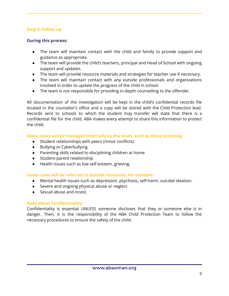### **Step 3: Follow up**

### **During this process:**

- The team will maintain contact with the child and family to provide support and guidance as appropriate.
- The team will provide the child's teachers, principal and Head of School with ongoing support and updates.
- The team will provide resource materials and strategies for teacher use if necessary.
- The team will maintain contact with any outside professionals and organizations involved in order to update the progress of the child in school.
- The team is not responsible for providing in-depth counselling to the offender.

All documentation of the investigation will be kept in the child's confidential records file located in the counselor's office and a copy will be stored with the Child Protection lead. Records sent to schools to which the student may transfer will state that there is a confidential file for the child. ABA makes every attempt to share this information to protect the child.

### **Many cases will be managed internally by the team, such as those involving:**

- Student relationships with peers (minor conflicts)
- Bullying or Cyberbullying
- Parenting skills related to disciplining children at home
- Student-parent relationship
- Health issues such as low self-esteem, grieving.

### **Some cases will be referred to outside resources, for example:**

- Mental health issues such as depression, psychosis, self-harm, suicidal ideation.
- Severe and ongoing physical abuse or neglect
- Sexual abuse and incest.

# **Note about Confidentiality:**

Confidentiality is essential UNLESS someone discloses that they or someone else is in danger. Then, it is the responsibility of the ABA Child Protection Team to follow the necessary procedures to ensure the safety of the child.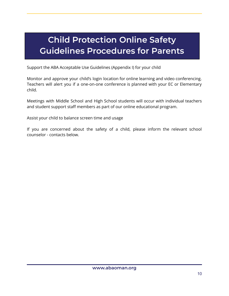# <span id="page-9-0"></span>**Child Protection Online Safety Guidelines Procedures for Parents**

Support the ABA Acceptable Use Guidelines (Appendix I) for your child

Monitor and approve your child's login location for online learning and video conferencing. Teachers will alert you if a one-on-one conference is planned with your EC or Elementary child.

Meetings with Middle School and High School students will occur with individual teachers and student support staff members as part of our online educational program.

Assist your child to balance screen time and usage

If you are concerned about the safety of a child, please inform the relevant school counselor - contacts below.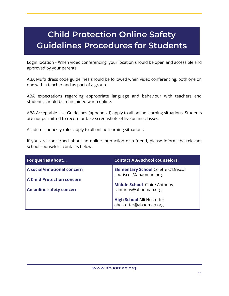# <span id="page-10-0"></span>**Child Protection Online Safety Guidelines Procedures for Students**

Login location - When video conferencing, your location should be open and accessible and approved by your parents.

ABA Mufti dress code guidelines should be followed when video conferencing, both one on one with a teacher and as part of a group.

ABA expectations regarding appropriate language and behaviour with teachers and students should be maintained when online.

ABA Acceptable Use Guidelines (appendix I) apply to all online learning situations. Students are not permitted to record or take screenshots of live online classes.

Academic honesty rules apply to all online learning situations

If you are concerned about an online interaction or a friend, please inform the relevant school counselor - contacts below.

| For queries about                                               | <b>Contact ABA school counselors.</b>                                 |
|-----------------------------------------------------------------|-----------------------------------------------------------------------|
| A social/emotional concern<br><b>A Child Protection concern</b> | <b>Elementary School Colette O'Driscoll</b><br>codriscoll@abaoman.org |
| An online safety concern                                        | <b>Middle School Claire Anthony</b><br>canthony@abaoman.org           |
|                                                                 | <b>High School Alli Hostetter</b><br>ahostetter@abaoman.org           |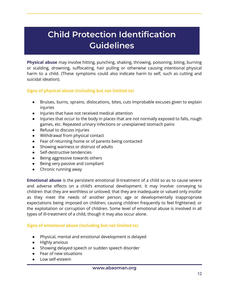# **Child Protection Identification Guidelines**

<span id="page-11-0"></span>**Physical abuse** may involve hitting, punching, shaking, throwing, poisoning, biting, burning or scalding, drowning, suffocating, hair pulling or otherwise causing intentional physical harm to a child. (These symptoms could also indicate harm to self, such as cutting and suicidal ideation).

### **Signs of physical abuse (including but not limited to)**

- Bruises, burns, sprains, dislocations, bites, cuts Improbable excuses given to explain injuries
- Injuries that have not received medical attention
- Injuries that occur to the body in places that are not normally exposed to falls, rough games, etc. Repeated urinary infections or unexplained stomach pains
- Refusal to discuss injuries
- Withdrawal from physical contact
- Fear of returning home or of parents being contacted
- Showing wariness or distrust of adults
- Self-destructive tendencies
- Being aggressive towards others
- Being very passive and compliant
- Chronic running away

**Emotional abuse** is the persistent emotional ill-treatment of a child so as to cause severe and adverse effects on a child's emotional development. It may involve: conveying to children that they are worthless or unloved; that they are inadequate or valued only insofar as they meet the needs of another person; age or developmentally inappropriate expectations being imposed on children; causing children frequently to feel frightened; or the exploitation or corruption of children. Some level of emotional abuse is involved in all types of ill-treatment of a child, though it may also occur alone.

#### **Signs of emotional abuse (Including but not limited to)**

- Physical, mental and emotional development is delayed
- Highly anxious
- Showing delayed speech or sudden speech disorder
- Fear of new situations
- Low self-esteem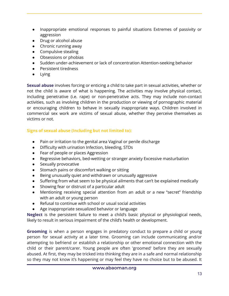- Inappropriate emotional responses to painful situations Extremes of passivity or aggression
- Drug or alcohol abuse
- Chronic running away
- Compulsive stealing
- Obsessions or phobias
- Sudden under-achievement or lack of concentration Attention-seeking behavior
- Persistent tiredness
- Lying

**Sexual abuse** involves forcing or enticing a child to take part in sexual activities, whether or not the child is aware of what is happening. The activities may involve physical contact, including penetrative (i.e. rape) or non-penetrative acts. They may include non-contact activities, such as involving children in the production or viewing of pornographic material or encouraging children to behave in sexually inappropriate ways. Children involved in commercial sex work are victims of sexual abuse, whether they perceive themselves as victims or not.

# **Signs of sexual abuse (Including but not limited to):**

- Pain or irritation to the genital area Vaginal or penile discharge
- Difficulty with urination Infection, bleeding, STDs
- Fear of people or places Aggression
- Regressive behaviors, bed-wetting or stranger anxiety Excessive masturbation
- Sexually provocative
- Stomach pains or discomfort walking or sitting
- Being unusually quiet and withdrawn or unusually aggressive
- Suffering from what seem to be physical ailments that can't be explained medically
- Showing fear or distrust of a particular adult
- Mentioning receiving special attention from an adult or a new "secret" friendship with an adult or young person
- Refusal to continue with school or usual social activities
- Age inappropriate sexualized behavior or language

**Neglect** is the persistent failure to meet a child's basic physical or physiological needs, likely to result in serious impairment of the child's health or development.

**Grooming** is when a person engages in predatory conduct to prepare a child or young person for sexual activity at a later time. Grooming can include communicating and/or attempting to befriend or establish a relationship or other emotional connection with the child or their parent/carer. Young people are often 'groomed' before they are sexually abused. At first, they may be tricked into thinking they are in a safe and normal relationship so they may not know it's happening or may feel they have no choice but to be abused. It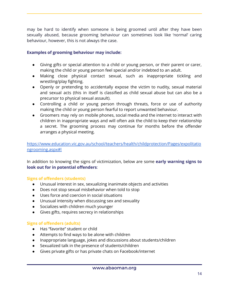may be hard to identify when someone is being groomed until after they have been sexually abused, because grooming behaviour can sometimes look like 'normal' caring behaviour, however, this is not always the case.

# **Examples of grooming behaviour may include:**

- Giving gifts or special attention to a child or young person, or their parent or carer, making the child or young person feel special and/or indebted to an adult.
- Making close physical contact sexual, such as inappropriate tickling and wrestling/play fighting.
- Openly or pretending to accidentally expose the victim to nudity, sexual material and sexual acts (this in itself is classified as child sexual abuse but can also be a precursor to physical sexual assault).
- Controlling a child or young person through threats, force or use of authority making the child or young person fearful to report unwanted behaviour.
- Groomers may rely on mobile phones, social media and the internet to interact with children in inappropriate ways and will often ask the child to keep their relationship a secret. The grooming process may continue for months before the offender arranges a physical meeting.

[https://www.education.vic.gov.au/school/teachers/health/childprotection/Pages/expolitatio](https://www.education.vic.gov.au/school/teachers/health/childprotection/Pages/expolitationgrooming.aspx#link2) [ngrooming.aspx#l](https://www.education.vic.gov.au/school/teachers/health/childprotection/Pages/expolitationgrooming.aspx#link2)

In addition to knowing the signs of victimization, below are some **early warning signs to look out for in potential offenders**:

### **Signs of offenders (students)**

- Unusual interest in sex, sexualizing inanimate objects and activities
- Does not stop sexual misbehavior when told to stop
- Uses force and coercion in social situations
- Unusual intensity when discussing sex and sexuality
- Socializes with children much younger
- Gives gifts, requires secrecy in relationships

### **Signs of offenders (adults)**

- Has "favorite" student or child
- Attempts to find ways to be alone with children
- Inappropriate language, jokes and discussions about students/children
- Sexualized talk in the presence of students/children
- Gives private gifts or has private chats on Facebook/internet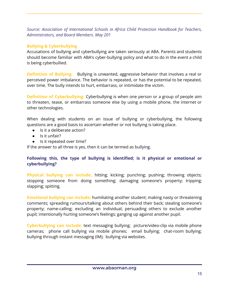*Source: Association of International Schools in Africa Child Protection Handbook for Teachers, Administrators, and Board Members. May 201*

# **Bullying & Cyberbullying**

Accusations of bullying and cyberbullying are taken seriously at ABA. Parents and students should become familiar with ABA's cyber-bullying policy and what to do in the event a child is being cyberbullied.

**Definition of Bullying:** Bullying is unwanted, aggressive behavior that involves a real or perceived power imbalance. The behavior is repeated, or has the potential to be repeated, over time. The bully intends to hurt, embarrass, or intimidate the victim.

**Definition of Cyberbullying:** Cyberbullying is when one person or a group of people aim to threaten, tease, or embarrass someone else by using a mobile phone, the internet or other technologies.

When dealing with students on an issue of bullying or cyberbullying, the following questions are a good basis to ascertain whether or not bullying is taking place.

- Is it a deliberate action?
- Is it unfair?
- Is it repeated over time?

If the answer to all three is yes, then it can be termed as bullying.

# **Following this, the type of bullying is identified; is it physical or emotional or cyberbullying?**

**Physical bullying can include;** hitting; kicking; punching; pushing; throwing objects; stopping someone from doing something; damaging someone's property; tripping; slapping; spitting.

**Emotional bullying can include;** humiliating another student; making nasty or threatening comments; spreading rumours/talking about others behind their back; stealing someone's property; name-calling; excluding an individual; persuading others to exclude another pupil; intentionally hurting someone's feelings; ganging up against another pupil.

**Cyberbullying can include;** text messaging bullying; picture/video-clip via mobile phone cameras; phone call bullying via mobile phones; email bullying; chat-room bullying; bullying through instant messaging (IM); bullying via websites.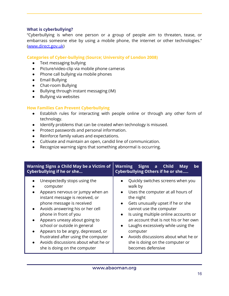#### **What is cyberbullying?**

"Cyberbullying is when one person or a group of people aim to threaten, tease, or embarrass someone else by using a mobile phone, the internet or other technologies." [\(www.direct.gov.uk](http://www.direct.gov.uk))

#### **Categories of Cyber-bullying (Source; University of London 2008)**

- Text messaging bullying
- Picture/video-clip via mobile phone cameras
- Phone call bullying via mobile phones
- Email Bullying
- Chat-room Bullying
- Bullying through instant messaging (IM)
- Bullying via websites

#### **How Families Can Prevent Cyberbullying**

- Establish rules for interacting with people online or through any other form of technology.
- Identify problems that can be created when technology is misused.
- Protect passwords and personal information.
- Reinforce family values and expectations.
- Cultivate and maintain an open, candid line of communication.
- Recognize warning signs that something abnormal is occurring.

| Warning Signs a Child May be a Victim of<br>Cyberbullying if he or she | Signs a Child<br><b>Warning</b><br>be<br><b>May</b><br><b>Cyberbullying Others if he or she</b> |
|------------------------------------------------------------------------|-------------------------------------------------------------------------------------------------|
| Unexpectedly stops using the                                           | Quickly switches screens when you                                                               |
| computer                                                               | walk by                                                                                         |
| Appears nervous or jumpy when an                                       | Uses the computer at all hours of                                                               |
| instant message is received, or                                        | the night                                                                                       |
| phone message is received                                              | Gets unusually upset if he or she                                                               |
| Avoids answering his or her cell                                       | $\bullet$                                                                                       |
| $\bullet$                                                              | cannot use the computer                                                                         |
| phone in front of you                                                  | Is using multiple online accounts or                                                            |
| Appears uneasy about going to                                          | an account that is not his or her own                                                           |
| $\bullet$                                                              | Laughs excessively while using the                                                              |
| school or outside in general                                           | $\bullet$                                                                                       |
| Appears to be angry, depressed, or                                     | computer                                                                                        |
| frustrated after using the computer                                    | Avoids discussions about what he or                                                             |
| Avoids discussions about what he or                                    | she is doing on the computer or                                                                 |
| she is doing on the computer                                           | becomes defensive                                                                               |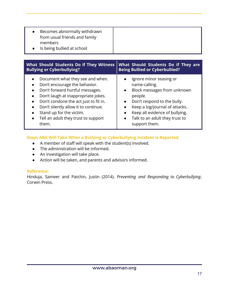| Becomes abnormally withdrawn<br>from usual friends and family<br>members<br>Is being bullied at school                                                                                                                                                                                                   |                                                                                                                                                                                                                                                                    |
|----------------------------------------------------------------------------------------------------------------------------------------------------------------------------------------------------------------------------------------------------------------------------------------------------------|--------------------------------------------------------------------------------------------------------------------------------------------------------------------------------------------------------------------------------------------------------------------|
| What Should Students Do if They Witness<br><b>Bullying or Cyberbullying?</b>                                                                                                                                                                                                                             | What Should Students Do if They are<br><b>Being Bullied or Cyberbullied?</b>                                                                                                                                                                                       |
| Document what they see and when.<br>Don't encourage the behavior.<br>Don't forward hurtful messages.<br>Don't laugh at inappropriate jokes.<br>Don't condone the act just to fit in.<br>Don't silently allow it to continue.<br>Stand up for the victim.<br>Tell an adult they trust to support<br>them. | Ignore minor teasing or<br>name-calling.<br>Block messages from unknown<br>people.<br>Don't respond to the bully.<br>Keep a log/journal of attacks.<br>Keep all evidence of bullying.<br>$\bullet$<br>Talk to an adult they trust to<br>$\bullet$<br>support them. |

# **Steps ABA Will Take When a Bullying or Cyberbullying Incident is Reported**

- A member of staff will speak with the student(s) involved.
- The administration will be informed.
- An investigation will take place.
- Action will be taken, and parents and advisors informed.

### **Reference:**

Hinduja, Sameer and Patchin, Justin (2014). *Preventing and Responding to Cyberbullying*. Corwin Press.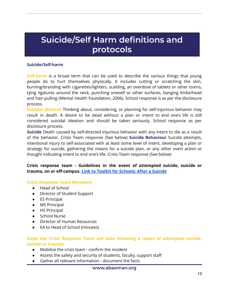# <span id="page-17-0"></span>**Suicide/Self Harm definitions and protocols**

#### **Suicide/Self-harm**

**Self-harm** is a broad term that can be used to describe the various things that young people do to hurt themselves physically. It includes cutting or scratching the skin, burning/branding with cigarettes/lighters, scalding, an overdose of tablets or other toxins, tying ligatures around the neck, punching oneself or other surfaces, banging limbs/head and hair-pulling (Mental Health Foundation, 2006). School response is as per the disclosure process.

**Suicidal ideation** Thinking about, considering, or planning for self-injurious behavior may result in death. A desire to be dead without a plan or intent to end one's life is still considered suicidal ideation and should be taken seriously. School response as per disclosure process.

**Suicide** Death caused by self-directed injurious behavior with any intent to die as a result of the behavior. Crisis Team response (See below) **Suicide Behaviour** Suicide attempts, intentional injury to self-associated with at least some level of intent, developing a plan or strategy for suicide, gathering the means for a suicide plan, or any other overt action or thought indicating intent to end one's life. Crisis Team response (See below)

**Crisis response team - Guidelines in the event of attempted suicide, suicide or trauma, on or off-campus. Link to Toolkit for [Schools:](http://www.sprc.org/sites/default/files/resource-program/AfteraSuicideToolkitforSchools.pdf) After a Suicide**

#### **Crisis Response Team Members:**

- Head of School
- Director of Student Support
- ES Principal
- MS Principal
- HS Principal
- School Nurse
- Director of Human Resources
- EA to Head of School (minutes)

#### **Steps the Crisis Response Team will take following a report of attempted suicide, suicide or trauma:**

- Mobilize the crisis team confirm the incident
- Assess the safety and security of students, faculty, support staff
- Gather all relevant information document the facts

#### **www.abaoman.org**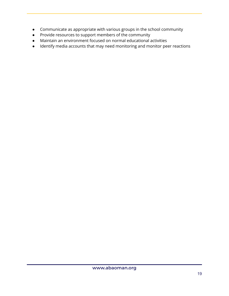- Communicate as appropriate with various groups in the school community
- Provide resources to support members of the community
- Maintain an environment focused on normal educational activities
- Identify media accounts that may need monitoring and monitor peer reactions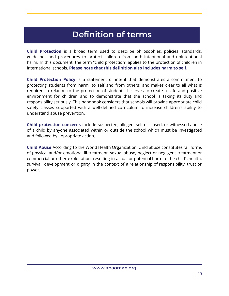# **Definition of terms**

<span id="page-19-0"></span>**Child Protection** is a broad term used to describe philosophies, policies, standards, guidelines and procedures to protect children from both intentional and unintentional harm. In this document, the term "child protection" applies to the protection of children in international schools. **Please note that this definition also includes harm to self.**

**Child Protection Policy** is a statement of intent that demonstrates a commitment to protecting students from harm (to self and from others) and makes clear to all what is required in relation to the protection of students. It serves to create a safe and positive environment for children and to demonstrate that the school is taking its duty and responsibility seriously. This handbook considers that schools will provide appropriate child safety classes supported with a well-defined curriculum to increase children's ability to understand abuse prevention.

**Child protection concerns** include suspected, alleged, self-disclosed, or witnessed abuse of a child by anyone associated within or outside the school which must be investigated and followed by appropriate action.

**Child Abuse** According to the World Health Organization, child abuse constitutes "all forms of physical and/or emotional ill-treatment, sexual abuse, neglect or negligent treatment or commercial or other exploitation, resulting in actual or potential harm to the child's health, survival, development or dignity in the context of a relationship of responsibility, trust or power.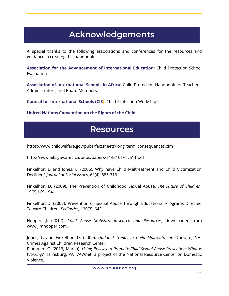# **Acknowledgements**

<span id="page-20-0"></span>A special thanks to the following associations and conferences for the resources and guidance in creating this handbook.

**Association for the Advancement of International Education:** Child Protection School Evaluation

**Association of International Schools in Africa:** Child Protection Handbook for Teachers, Administrators, and Board Members.

**Council for International Schools (CIS):** Child Protection Workshop

#### <span id="page-20-1"></span>**United Nations Convention on the Rights of the Child**

# **Resources**

https://www.childwelfare.gov/pubs/factsheets/long\_term\_consequences.cfm

http://www.aifs.gov.au/cfca/pubs/papers/a143161/cfca11.pdf

Finkelhor, D and Jones, L. (2006). Why have Child Maltreatment and Child Victimization Declined? *Journal of Social Issues*, 62(4): 685-716.

Finkelhor, D. (2009). The Prevention of Childhood Sexual Abuse, *The Future of Children*, 19(2),169-194.

Finkelhor, D. (2007). Prevention of Sexual Abuse Through Educational Programs Directed Toward Children. *Pediatrics,* 120(3), 643.

Hopper, J. (2012). *Child Abuse Statistics, Research and Resources,* downloaded from www.jimhopper.com.

Jones, L. and Finkelhor, D. (2009). *Updated Trends in Child Maltreatment:* Durham, NH. Crimes Against Children Research Center.

Plummer, C. (2013, March). *Using Policies to Promote Child Sexual Abuse Prevention: What is Working?* Harrisburg, PA: VAWnet, a project of the National Resource Center on Domestic Violence.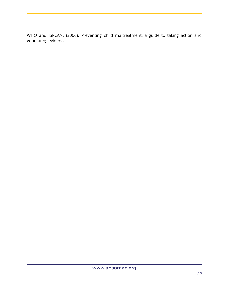WHO and ISPCAN, (2006). Preventing child maltreatment: a guide to taking action and generating evidence.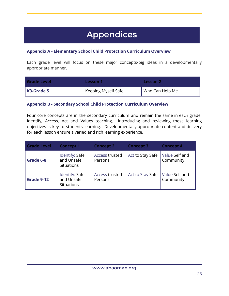# **Appendices**

# <span id="page-22-1"></span><span id="page-22-0"></span>**Appendix A - Elementary School Child Protection Curriculum Overview**

Each grade level will focus on these major concepts/big ideas in a developmentally appropriate manner.

| <b>Grade Level</b> | Lesson 1            | <b>Lesson 2</b> |
|--------------------|---------------------|-----------------|
| K3-Grade 5         | Keeping Myself Safe | Who Can Help Me |

### <span id="page-22-2"></span>**Appendix B - Secondary School Child Protection Curriculum Overview**

Four core concepts are in the secondary curriculum and remain the same in each grade. Identify, Access, Act and Values teaching. Introducing and reviewing these learning objectives is key to students learning. Developmentally appropriate content and delivery for each lesson ensure a varied and rich learning experience.

| <b>Grade Level</b> | <b>Concept 1</b>                                  | <b>Concept 2</b>          | <b>Concept 3</b> | <b>Concept 4</b>            |
|--------------------|---------------------------------------------------|---------------------------|------------------|-----------------------------|
| Grade 6-8          | Identify: Safe<br>and Unsafe<br><b>Situations</b> | Access trusted<br>Persons | Act to Stay Safe | Value Self and<br>Community |
| Grade 9-12         | Identify: Safe<br>and Unsafe<br><b>Situations</b> | Access trusted<br>Persons | Act to Stay Safe | Value Self and<br>Community |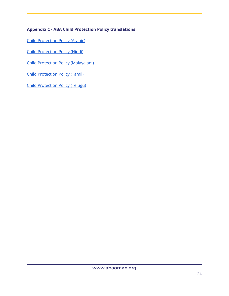# <span id="page-23-0"></span>**Appendix C - ABA Child Protection Policy translations**

Child [Protection](https://docs.google.com/document/d/1oy0k4O66rR3dopolbcFsg7KHkLZazvjO0X0IR1SuGw0/edit?usp=sharing) Policy (Arabic)

Child [Protection](https://docs.google.com/document/d/1dqocQXD_A5QyA_NM8v_MR3Ut3wQf-y84pcXkVF8jR9U/edit?usp=sharing) Policy (Hindi)

Child Protection Policy [\(Malayalam\)](https://docs.google.com/document/d/1eiZoOLgbVjvdpuait3vKmwOOzjYpFPyr8NK31v7MihQ/edit?usp=sharing)

Child [Protection](https://docs.google.com/document/d/1u-6imD4k17lbmm3SfddQYbAtdyQkDBwVIDkMf-xI-es/edit?usp=sharing) Policy (Tamil)

Child [Protection](https://docs.google.com/document/d/156GS1dGdnJO4v0uRa0UvrZJWFLlNv3IY6Hen5875sho/edit?usp=sharing) Policy (Telugu)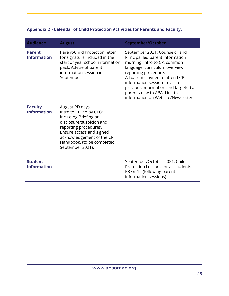<span id="page-24-0"></span>

| Appendix D - Calendar of Child Protection Activities for Parents and Faculty. |  |  |  |  |  |
|-------------------------------------------------------------------------------|--|--|--|--|--|
|-------------------------------------------------------------------------------|--|--|--|--|--|

| <b>Audience</b>                      | <b>August</b>                                                                                                                                                                                                                       | <b>September/October</b>                                                                                                                                                                                                                                                                                                                       |
|--------------------------------------|-------------------------------------------------------------------------------------------------------------------------------------------------------------------------------------------------------------------------------------|------------------------------------------------------------------------------------------------------------------------------------------------------------------------------------------------------------------------------------------------------------------------------------------------------------------------------------------------|
| <b>Parent</b><br><b>Information</b>  | Parent-Child Protection letter<br>for signature included in the<br>start of year school information<br>pack. Advise of parent<br>information session in<br>September                                                                | September 2021: Counselor and<br>Principal led parent information<br>morning: intro to CP, common<br>language, curriculum overview,<br>reporting procedure.<br>All parents invited to attend CP<br>information session- revisit of<br>previous information and targeted at<br>parents new to ABA. Link to<br>information on Website/Newsletter |
| <b>Faculty</b><br><b>Information</b> | August PD days.<br>Intro to CP led by CPO:<br>Including Briefing on<br>disclosure/suspicion and<br>reporting procedures.<br>Ensure access and signed<br>acknowledgement of the CP<br>Handbook. (to be completed<br>September 2021). |                                                                                                                                                                                                                                                                                                                                                |
| <b>Student</b><br><b>Information</b> |                                                                                                                                                                                                                                     | September/October 2021: Child<br>Protection Lessons for all students<br>K3-Gr 12 (following parent<br>information sessions)                                                                                                                                                                                                                    |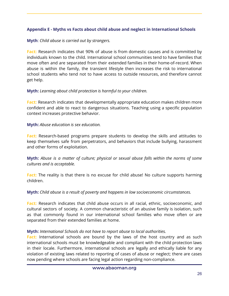# <span id="page-25-0"></span>**Appendix E - Myths vs Facts about child abuse and neglect in International Schools**

### **Myth**: *Child abuse is carried out by strangers.*

**Fact:** Research indicates that 90% of abuse is from domestic causes and is committed by individuals known to the child. International school communities tend to have families that move often and are separated from their extended families in their home-of-record. When abuse is within the family, the transient lifestyle then increases the risk to international school students who tend not to have access to outside resources, and therefore cannot get help.

# **Myth:** *Learning about child protection is harmful to your children.*

**Fact:** Research indicates that developmentally appropriate education makes children more confident and able to react to dangerous situations. Teaching using a specific population context increases protective behavior.

### **Myth:** *Abuse education is sex education.*

**Fact:** Research-based programs prepare students to develop the skills and attitudes to keep themselves safe from perpetrators, and behaviors that include bullying, harassment and other forms of exploitation.

**Myth:** *Abuse is a matter of culture; physical or sexual abuse falls within the norms of some cultures and is acceptable.*

**Fact:** The reality is that there is no excuse for child abuse! No culture supports harming children.

# **Myth:** *Child abuse is a result of poverty and happens in low socioeconomic circumstances.*

**Fact:** Research indicates that child abuse occurs in all racial, ethnic, socioeconomic, and cultural sectors of society. A common characteristic of an abusive family is isolation, such as that commonly found in our international school families who move often or are separated from their extended families at home.

# **Myth:** *International Schools do not have to report abuse to local authorities.*

**Fact:** International schools are bound by the laws of the host country and as such international schools must be knowledgeable and compliant with the child protection laws in their locale. Furthermore, international schools are legally and ethically liable for any violation of existing laws related to reporting of cases of abuse or neglect; there are cases now pending where schools are facing legal action regarding non-compliance.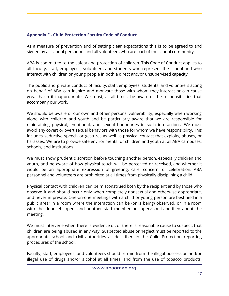# <span id="page-26-0"></span>**Appendix F - Child Protection Faculty Code of Conduct**

As a measure of prevention and of setting clear expectations this is to be agreed to and signed by all school personnel and all volunteers who are part of the school community.

ABA is committed to the safety and protection of children. This Code of Conduct applies to all faculty, staff, employees, volunteers and students who represent the school and who interact with children or young people in both a direct and/or unsupervised capacity.

The public and private conduct of faculty, staff, employees, students, and volunteers acting on behalf of ABA can inspire and motivate those with whom they interact or can cause great harm if inappropriate. We must, at all times, be aware of the responsibilities that accompany our work.

We should be aware of our own and other persons' vulnerability, especially when working alone with children and youth and be particularly aware that we are responsible for maintaining physical, emotional, and sexual boundaries in such interactions. We must avoid any covert or overt sexual behaviors with those for whom we have responsibility. This includes seductive speech or gestures as well as physical contact that exploits, abuses, or harasses. We are to provide safe environments for children and youth at all ABA campuses, schools, and institutions.

We must show prudent discretion before touching another person, especially children and youth, and be aware of how physical touch will be perceived or received, and whether it would be an appropriate expression of greeting, care, concern, or celebration. ABA personnel and volunteers are prohibited at all times from physically disciplining a child.

Physical contact with children can be misconstrued both by the recipient and by those who observe it and should occur only when completely nonsexual and otherwise appropriate, and never in private. One-on-one meetings with a child or young person are best held in a public area; in a room where the interaction can be (or is being) observed, or in a room with the door left open, and another staff member or supervisor is notified about the meeting.

We must intervene when there is evidence of, or there is reasonable cause to suspect, that children are being abused in any way. Suspected abuse or neglect must be reported to the appropriate school and civil authorities as described in the Child Protection reporting procedures of the school.

Faculty, staff, employees, and volunteers should refrain from the illegal possession and/or illegal use of drugs and/or alcohol at all times, and from the use of tobacco products,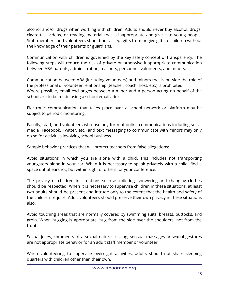alcohol and/or drugs when working with children. Adults should never buy alcohol, drugs, cigarettes, videos, or reading material that is inappropriate and give it to young people. Staff members and volunteers should not accept gifts from or give gifts to children without the knowledge of their parents or guardians.

Communication with children is governed by the key safety concept of transparency. The following steps will reduce the risk of private or otherwise inappropriate communication between ABA parents, administration, teachers, personnel, volunteers, and minors:

Communication between ABA (including volunteers) and minors that is outside the role of the professional or volunteer relationship (teacher, coach, host, etc.) is prohibited. Where possible, email exchanges between a minor and a person acting on behalf of the school are to be made using a school email address.

Electronic communication that takes place over a school network or platform may be subject to periodic monitoring.

Faculty, staff, and volunteers who use any form of online communications including social media (Facebook, Twitter, etc.) and text messaging to communicate with minors may only do so for activities involving school business.

Sample behavior practices that will protect teachers from false allegations:

Avoid situations in which you are alone with a child. This includes not transporting youngsters alone in your car. When it is necessary to speak privately with a child, find a space out of earshot, but within sight of others for your conference.

The privacy of children in situations such as toileting, showering and changing clothes should be respected. When it is necessary to supervise children in these situations, at least two adults should be present and intrude only to the extent that the health and safety of the children require. Adult volunteers should preserve their own privacy in these situations also.

Avoid touching areas that are normally covered by swimming suits; breasts, buttocks, and groin. When hugging is appropriate, hug from the side over the shoulders, not from the front.

Sexual jokes, comments of a sexual nature, kissing, sensual massages or sexual gestures are not appropriate behavior for an adult staff member or volunteer.

When volunteering to supervise overnight activities, adults should not share sleeping quarters with children other than their own.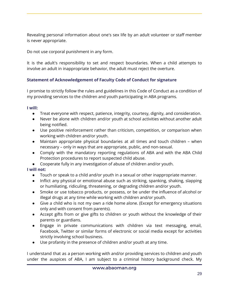Revealing personal information about one's sex life by an adult volunteer or staff member is never appropriate.

Do not use corporal punishment in any form.

It is the adult's responsibility to set and respect boundaries. When a child attempts to involve an adult in inappropriate behavior, the adult must reject the overture.

# **Statement of Acknowledgement of Faculty Code of Conduct for signature**

I promise to strictly follow the rules and guidelines in this Code of Conduct as a condition of my providing services to the children and youth participating in ABA programs.

### **I will:**

- Treat everyone with respect, patience, integrity, courtesy, dignity, and consideration.
- Never be alone with children and/or youth at school activities without another adult being notified.
- Use positive reinforcement rather than criticism, competition, or comparison when working with children and/or youth.
- Maintain appropriate physical boundaries at all times and touch children when necessary – only in ways that are appropriate, public, and non-sexual.
- Comply with the mandatory reporting regulations of ABA and with the ABA Child Protection procedures to report suspected child abuse.
- Cooperate fully in any investigation of abuse of children and/or youth.

# **I will not:**

- Touch or speak to a child and/or youth in a sexual or other inappropriate manner.
- Inflict any physical or emotional abuse such as striking, spanking, shaking, slapping or humiliating, ridiculing, threatening, or degrading children and/or youth.
- Smoke or use tobacco products, or possess, or be under the influence of alcohol or illegal drugs at any time while working with children and/or youth.
- Give a child who is not my own a ride home alone. (Except for emergency situations only and with consent from parents).
- Accept gifts from or give gifts to children or youth without the knowledge of their parents or guardians.
- Engage in private communications with children via text messaging, email, Facebook, Twitter or similar forms of electronic or social media except for activities strictly involving school business.
- Use profanity in the presence of children and/or youth at any time.

I understand that as a person working with and/or providing services to children and youth under the auspices of ABA, I am subject to a criminal history background check. My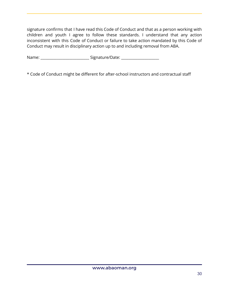signature confirms that I have read this Code of Conduct and that as a person working with children and youth I agree to follow these standards. I understand that any action inconsistent with this Code of Conduct or failure to take action mandated by this Code of Conduct may result in disciplinary action up to and including removal from ABA.

Name: \_\_\_\_\_\_\_\_\_\_\_\_\_\_\_\_\_\_\_\_\_\_\_\_\_\_\_ Signature/Date: \_\_\_\_\_\_\_\_\_\_\_\_\_\_\_\_\_\_\_\_\_

\* Code of Conduct might be different for after-school instructors and contractual staff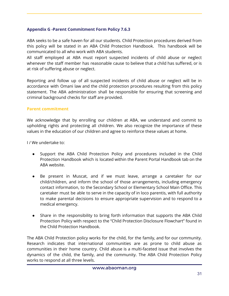### <span id="page-30-0"></span>**Appendix G -Parent Commitment Form Policy 7.6.3**

ABA seeks to be a safe haven for all our students. Child Protection procedures derived from this policy will be stated in an ABA Child Protection Handbook. This handbook will be communicated to all who work with ABA students.

All staff employed at ABA must report suspected incidents of child abuse or neglect whenever the staff member has reasonable cause to believe that a child has suffered, or is at risk of suffering abuse or neglect.

Reporting and follow up of all suspected incidents of child abuse or neglect will be in accordance with Omani law and the child protection procedures resulting from this policy statement. The ABA administration shall be responsible for ensuring that screening and criminal background checks for staff are provided.

### **Parent commitment**

We acknowledge that by enrolling our children at ABA, we understand and commit to upholding rights and protecting all children. We also recognize the importance of these values in the education of our children and agree to reinforce these values at home.

I / We undertake to:

- Support the ABA Child Protection Policy and procedures included in the Child Protection Handbook which is located within the Parent Portal Handbook tab on the ABA website.
- Be present in Muscat, and if we must leave, arrange a caretaker for our child/children, and inform the school of those arrangements, including emergency contact information, to the Secondary School or Elementary School Main Office. This caretaker must be able to serve in the capacity of in loco parentis, with full authority to make parental decisions to ensure appropriate supervision and to respond to a medical emergency.
- Share in the responsibility to bring forth information that supports the ABA Child Protection Policy with respect to the "Child Protection Disclosure Flowchart" found in the Child Protection Handbook.

The ABA Child Protection policy works for the child, for the family, and for our community. Research indicates that international communities are as prone to child abuse as communities in their home country. Child abuse is a multi-faceted issue that involves the dynamics of the child, the family, and the community. The ABA Child Protection Policy works to respond at all three levels.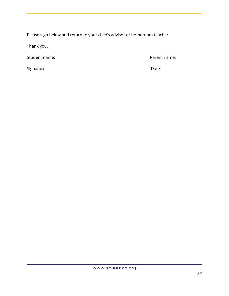Please sign below and return to your child's advisor or homeroom teacher.

Thank you.

Student name: Parent name:

Signature: **Date:** Date: **Date:** Date: **Date: Date: Date: Date: Date: Date: Date:**  $\alpha$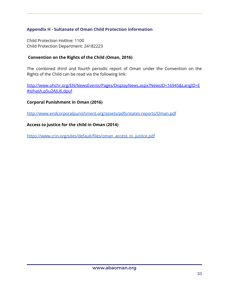# <span id="page-32-0"></span>**Appendix H - Sultanate of Oman Child Protection information**

Child Protection Hotline: 1100 Child Protection Department: 24182223

### **Convention on the Rights of the Child (Oman, 2016)**

The combined third and fourth periodic report of Oman under the Convention on the Rights of the Child can be read via the following link:

[http://www.ohchr.org/EN/NewsEvents/Pages/DisplayNews.aspx?NewsID=16945&LangID=E](http://www.ohchr.org/EN/NewsEvents/Pages/DisplayNews.aspx?NewsID=16945&LangID=E#sthash.p5u2AJU6.dpuf) [#sthash.p5u2AJU6.dpuf](http://www.ohchr.org/EN/NewsEvents/Pages/DisplayNews.aspx?NewsID=16945&LangID=E#sthash.p5u2AJU6.dpuf)

#### **Corporal Punishment in Oman (2016)**

<http://www.endcorporalpunishment.org/assets/pdfs/states-reports/Oman.pdf>

#### **Access to justice for the child in Oman (2014)**

<span id="page-32-1"></span>[https://www.crin.org/sites/default/files/oman\\_access\\_to\\_justice.pdf](https://www.crin.org/sites/default/files/oman_access_to_justice.pdf)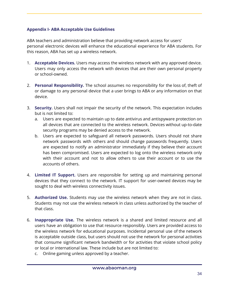# **Appendix I- ABA Acceptable Use Guidelines**

ABA teachers and administration believe that providing network access for users' personal electronic devices will enhance the educational experience for ABA students. For this reason, ABA has set up a wireless network.

- 1. **Acceptable Devices.** Users may access the wireless network with any approved device. Users may only access the network with devices that are their own personal property or school-owned.
- 2. **Personal Responsibility.** The school assumes no responsibility for the loss of, theft of or damage to any personal device that a user brings to ABA or any information on that device.
- 3. **Security.** Users shall not impair the security of the network. This expectation includes but is not limited to:
	- a. Users are expected to maintain up to date antivirus and antispyware protection on all devices that are connected to the wireless network. Devices without up-to-date security programs may be denied access to the network.
	- b. Users are expected to safeguard all network passwords. Users should not share network passwords with others and should change passwords frequently. Users are expected to notify an administrator immediately if they believe their account has been compromised. Users are expected to log onto the wireless network only with their account and not to allow others to use their account or to use the accounts of others.
- 4. **Limited IT Support.** Users are responsible for setting up and maintaining personal devices that they connect to the network. IT support for user-owned devices may be sought to deal with wireless connectivity issues.
- 5. **Authorized Use.** Students may use the wireless network when they are not in class. Students may not use the wireless network in class unless authorized by the teacher of that class.
- 6. **Inappropriate Use.** The wireless network is a shared and limited resource and all users have an obligation to use that resource responsibly. Users are provided access to the wireless network for educational purposes. Incidental personal use of the network is acceptable outside class, but users should not use the network for personal activities that consume significant network bandwidth or for activities that violate school policy or local or international law. These include but are not limited to:
	- c. Online gaming unless approved by a teacher.